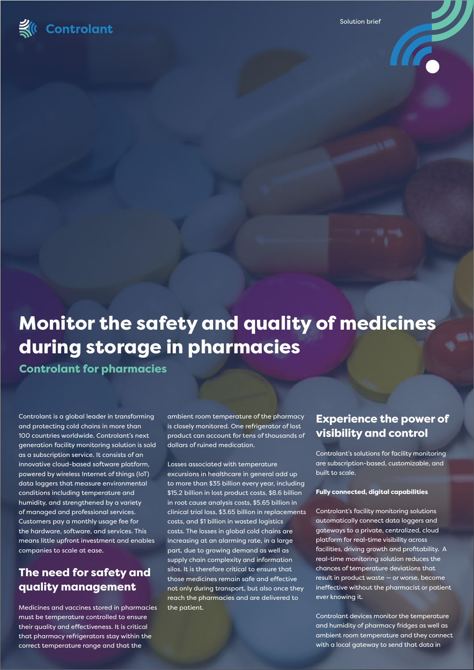

Solution brief



# Monitor the safety and quality of medicines during storage in pharmacies

Controlant for pharmacies

Controlant is a global leader in transforming and protecting cold chains in more than 100 countries worldwide. Controlant's next generation facility monitoring solution is sold as a subscription service. It consists of an innovative cloud-based software platform, powered by wireless Internet of things (IoT) data loggers that measure environmental conditions including temperature and humidity, and strengthened by a variety of managed and professional services. Customers pay a monthly usage fee for the hardware, software, and services. This means little upfront investment and enables companies to scale at ease.

# The need for safety and quality management

Medicines and vaccines stored in pharmacies must be temperature controlled to ensure their quality and effectiveness. It is critical that pharmacy refrigerators stay within the correct temperature range and that the

ambient room temperature of the pharmacy is closely monitored. One refrigerator of lost product can account for tens of thousands of dollars of ruined medication.

Losses associated with temperature excursions in healthcare in general add up to more than \$35 billion every year, including \$15.2 billion in lost product costs, \$8.6 billion in root cause analysis costs, \$5.65 billion in clinical trial loss, \$3.65 billion in replacements costs, and \$1 billion in wasted logistics costs. The losses in global cold chains are increasing at an alarming rate, in a large part, due to growing demand as well as supply chain complexity and information silos. It is therefore critical to ensure that those medicines remain safe and effective not only during transport, but also once they reach the pharmacies and are delivered to the patient.

# Experience the power of visibility and control

Controlant's solutions for facility monitoring are subscription-based, customizable, and built to scale.

#### Fully connected, digital capabilities

Controlant's facility monitoring solutions automatically connect data loggers and gateways to a private, centralized, cloud platform for real-time visibility across facilities, driving growth and profitability. A real-time monitoring solution reduces the chances of temperature deviations that result in product waste — or worse, become ineffective without the pharmacist or patient ever knowing it.

Controlant devices monitor the temperature and humidity of pharmacy fridges as well as ambient room temperature and they connect with a local gateway to send that data in